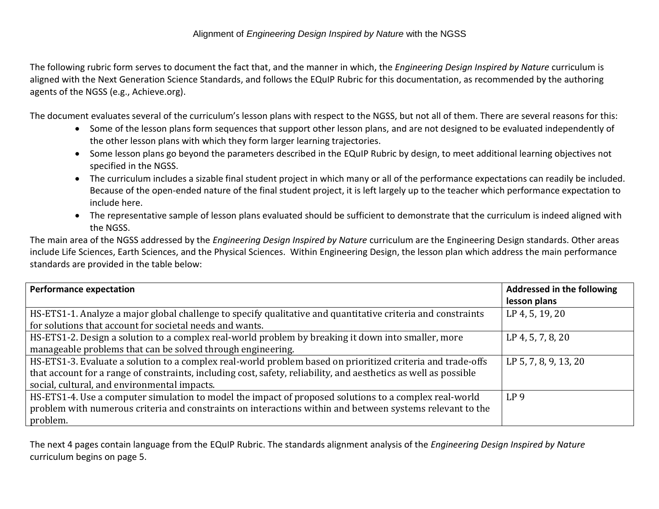The following rubric form serves to document the fact that, and the manner in which, the *Engineering Design Inspired by Nature* curriculum is aligned with the Next Generation Science Standards, and follows the EQuIP Rubric for this documentation, as recommended by the authoring agents of the NGSS (e.g., Achieve.org).

The document evaluates several of the curriculum's lesson plans with respect to the NGSS, but not all of them. There are several reasons for this:

- Some of the lesson plans form sequences that support other lesson plans, and are not designed to be evaluated independently of the other lesson plans with which they form larger learning trajectories.
- Some lesson plans go beyond the parameters described in the EQuIP Rubric by design, to meet additional learning objectives not specified in the NGSS.
- The curriculum includes a sizable final student project in which many or all of the performance expectations can readily be included. Because of the open-ended nature of the final student project, it is left largely up to the teacher which performance expectation to include here.
- The representative sample of lesson plans evaluated should be sufficient to demonstrate that the curriculum is indeed aligned with the NGSS.

The main area of the NGSS addressed by the *Engineering Design Inspired by Nature* curriculum are the Engineering Design standards. Other areas include Life Sciences, Earth Sciences, and the Physical Sciences. Within Engineering Design, the lesson plan which address the main performance standards are provided in the table below:

| <b>Performance expectation</b>                                                                                   | Addressed in the following |
|------------------------------------------------------------------------------------------------------------------|----------------------------|
|                                                                                                                  | lesson plans               |
| HS-ETS1-1. Analyze a major global challenge to specify qualitative and quantitative criteria and constraints     | LP 4, 5, 19, 20            |
| for solutions that account for societal needs and wants.                                                         |                            |
| HS-ETS1-2. Design a solution to a complex real-world problem by breaking it down into smaller, more              | LP 4, 5, 7, 8, 20          |
| manageable problems that can be solved through engineering.                                                      |                            |
| HS-ETS1-3. Evaluate a solution to a complex real-world problem based on prioritized criteria and trade-offs      | LP 5, 7, 8, 9, 13, 20      |
| that account for a range of constraints, including cost, safety, reliability, and aesthetics as well as possible |                            |
| social, cultural, and environmental impacts.                                                                     |                            |
| HS-ETS1-4. Use a computer simulation to model the impact of proposed solutions to a complex real-world           | LP <sub>9</sub>            |
| problem with numerous criteria and constraints on interactions within and between systems relevant to the        |                            |
| problem.                                                                                                         |                            |

The next 4 pages contain language from the EQuIP Rubric. The standards alignment analysis of the *Engineering Design Inspired by Nature*  curriculum begins on page 5.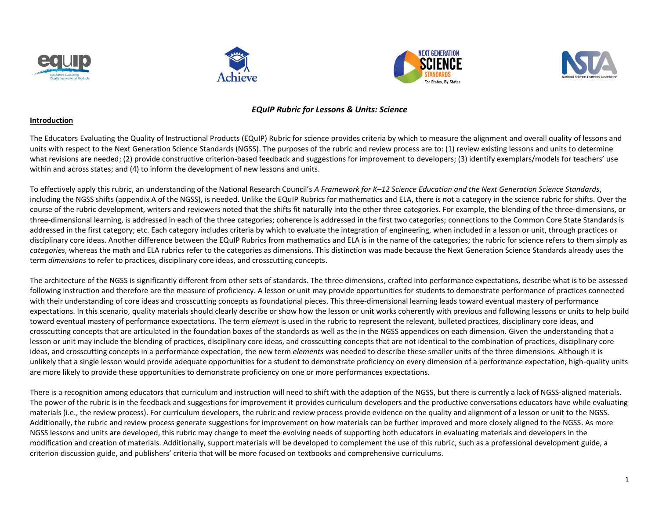







#### *EQuIP Rubric for Lessons & Units: Science*

#### **Introduction**

The Educators Evaluating the Quality of Instructional Products (EQuIP) Rubric for science provides criteria by which to measure the alignment and overall quality of lessons and units with respect to the Next Generation Science Standards (NGSS). The purposes of the rubric and review process are to: (1) review existing lessons and units to determine what revisions are needed; (2) provide constructive criterion-based feedback and suggestions for improvement to developers; (3) identify exemplars/models for teachers' use within and across states; and (4) to inform the development of new lessons and units.

To effectively apply this rubric, an understanding of the National Research Council's *A Framework for K–12 Science Education and the Next Generation Science Standards*, including the NGSS shifts (appendix A of the NGSS), is needed. Unlike the EQuIP Rubrics for mathematics and ELA, there is not a category in the science rubric for shifts. Over the course of the rubric development, writers and reviewers noted that the shifts fit naturally into the other three categories. For example, the blending of the three-dimensions, or three-dimensional learning, is addressed in each of the three categories; coherence is addressed in the first two categories; connections to the Common Core State Standards is addressed in the first category; etc. Each category includes criteria by which to evaluate the integration of engineering, when included in a lesson or unit, through practices or disciplinary core ideas. Another difference between the EQuIP Rubrics from mathematics and ELA is in the name of the categories; the rubric for science refers to them simply as *categories*, whereas the math and ELA rubrics refer to the categories as dimensions. This distinction was made because the Next Generation Science Standards already uses the term *dimensions* to refer to practices, disciplinary core ideas, and crosscutting concepts.

The architecture of the NGSS is significantly different from other sets of standards. The three dimensions, crafted into performance expectations, describe what is to be assessed following instruction and therefore are the measure of proficiency. A lesson or unit may provide opportunities for students to demonstrate performance of practices connected with their understanding of core ideas and crosscutting concepts as foundational pieces. This three-dimensional learning leads toward eventual mastery of performance expectations. In this scenario, quality materials should clearly describe or show how the lesson or unit works coherently with previous and following lessons or units to help build toward eventual mastery of performance expectations. The term *element* is used in the rubric to represent the relevant, bulleted practices, disciplinary core ideas, and crosscutting concepts that are articulated in the foundation boxes of the standards as well as the in the NGSS appendices on each dimension. Given the understanding that a lesson or unit may include the blending of practices, disciplinary core ideas, and crosscutting concepts that are not identical to the combination of practices, disciplinary core ideas, and crosscutting concepts in a performance expectation, the new term *elements* was needed to describe these smaller units of the three dimensions. Although it is unlikely that a single lesson would provide adequate opportunities for a student to demonstrate proficiency on every dimension of a performance expectation, high-quality units are more likely to provide these opportunities to demonstrate proficiency on one or more performances expectations.

There is a recognition among educators that curriculum and instruction will need to shift with the adoption of the NGSS, but there is currently a lack of NGSS-aligned materials. The power of the rubric is in the feedback and suggestions for improvement it provides curriculum developers and the productive conversations educators have while evaluating materials (i.e., the review process). For curriculum developers, the rubric and review process provide evidence on the quality and alignment of a lesson or unit to the NGSS. Additionally, the rubric and review process generate suggestions for improvement on how materials can be further improved and more closely aligned to the NGSS. As more NGSS lessons and units are developed, this rubric may change to meet the evolving needs of supporting both educators in evaluating materials and developers in the modification and creation of materials. Additionally, support materials will be developed to complement the use of this rubric, such as a professional development guide, a criterion discussion guide, and publishers' criteria that will be more focused on textbooks and comprehensive curriculums.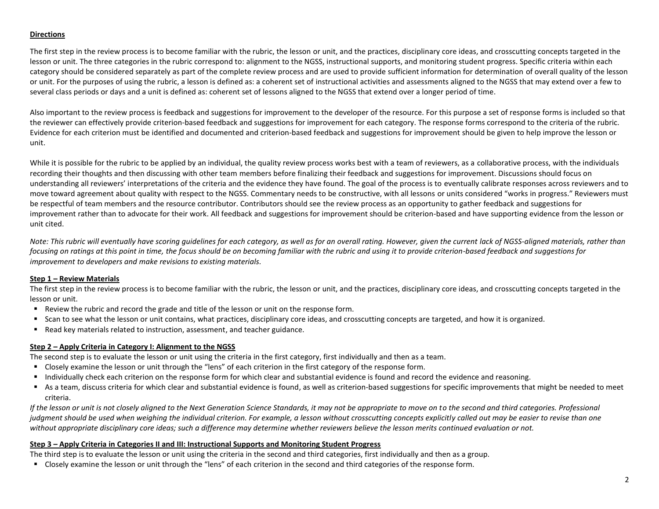#### **Directions**

The first step in the review process is to become familiar with the rubric, the lesson or unit, and the practices, disciplinary core ideas, and crosscutting concepts targeted in the lesson or unit. The three categories in the rubric correspond to: alignment to the NGSS, instructional supports, and monitoring student progress. Specific criteria within each category should be considered separately as part of the complete review process and are used to provide sufficient information for determination of overall quality of the lesson or unit. For the purposes of using the rubric, a lesson is defined as: a coherent set of instructional activities and assessments aligned to the NGSS that may extend over a few to several class periods or days and a unit is defined as: coherent set of lessons aligned to the NGSS that extend over a longer period of time.

Also important to the review process is feedback and suggestions for improvement to the developer of the resource. For this purpose a set of response forms is included so that the reviewer can effectively provide criterion-based feedback and suggestions for improvement for each category. The response forms correspond to the criteria of the rubric. Evidence for each criterion must be identified and documented and criterion-based feedback and suggestions for improvement should be given to help improve the lesson or unit.

While it is possible for the rubric to be applied by an individual, the quality review process works best with a team of reviewers, as a collaborative process, with the individuals recording their thoughts and then discussing with other team members before finalizing their feedback and suggestions for improvement. Discussions should focus on understanding all reviewers' interpretations of the criteria and the evidence they have found. The goal of the process is to eventually calibrate responses across reviewers and to move toward agreement about quality with respect to the NGSS. Commentary needs to be constructive, with all lessons or units considered "works in progress." Reviewers must be respectful of team members and the resource contributor. Contributors should see the review process as an opportunity to gather feedback and suggestions for improvement rather than to advocate for their work. All feedback and suggestions for improvement should be criterion-based and have supporting evidence from the lesson or unit cited.

*Note: This rubric will eventually have scoring guidelines for each category, as well as for an overall rating. However, given the current lack of NGSS-aligned materials, rather than focusing on ratings at this point in time, the focus should be on becoming familiar with the rubric and using it to provide criterion-based feedback and suggestions for improvement to developers and make revisions to existing materials.* 

#### **Step 1 – Review Materials**

The first step in the review process is to become familiar with the rubric, the lesson or unit, and the practices, disciplinary core ideas, and crosscutting concepts targeted in the lesson or unit.

- Review the rubric and record the grade and title of the lesson or unit on the response form.
- Scan to see what the lesson or unit contains, what practices, disciplinary core ideas, and crosscutting concepts are targeted, and how it is organized.
- Read key materials related to instruction, assessment, and teacher guidance.

#### **Step 2 – Apply Criteria in Category I: Alignment to the NGSS**

The second step is to evaluate the lesson or unit using the criteria in the first category, first individually and then as a team.

- Closely examine the lesson or unit through the "lens" of each criterion in the first category of the response form.
- Individually check each criterion on the response form for which clear and substantial evidence is found and record the evidence and reasoning.
- As a team, discuss criteria for which clear and substantial evidence is found, as well as criterion-based suggestions for specific improvements that might be needed to meet criteria.

*If the lesson or unit is not closely aligned to the Next Generation Science Standards, it may not be appropriate to move on to the second and third categories. Professional judgment should be used when weighing the individual criterion. For example, a lesson without crosscutting concepts explicitly called out may be easier to revise than one without appropriate disciplinary core ideas; such a difference may determine whether reviewers believe the lesson merits continued evaluation or not.*

#### **Step 3 – Apply Criteria in Categories II and III: Instructional Supports and Monitoring Student Progress**

The third step is to evaluate the lesson or unit using the criteria in the second and third categories, first individually and then as a group.

Closely examine the lesson or unit through the "lens" of each criterion in the second and third categories of the response form.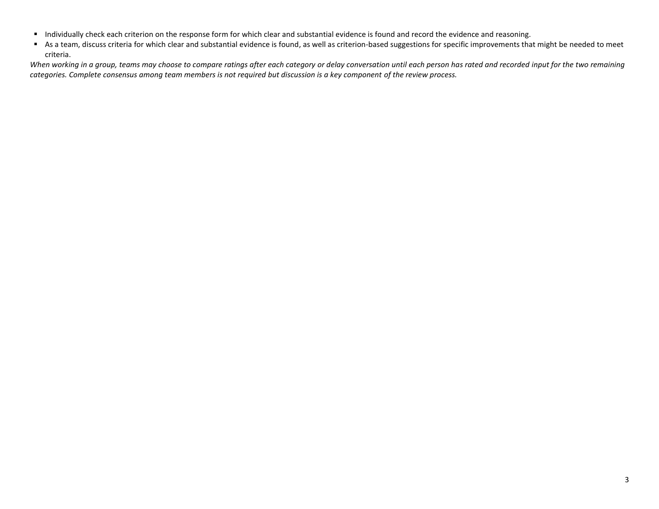- Individually check each criterion on the response form for which clear and substantial evidence is found and record the evidence and reasoning.
- As a team, discuss criteria for which clear and substantial evidence is found, as well as criterion-based suggestions for specific improvements that might be needed to meet criteria.

*When working in a group, teams may choose to compare ratings after each category or delay conversation until each person has rated and recorded input for the two remaining categories. Complete consensus among team members is not required but discussion is a key component of the review process.*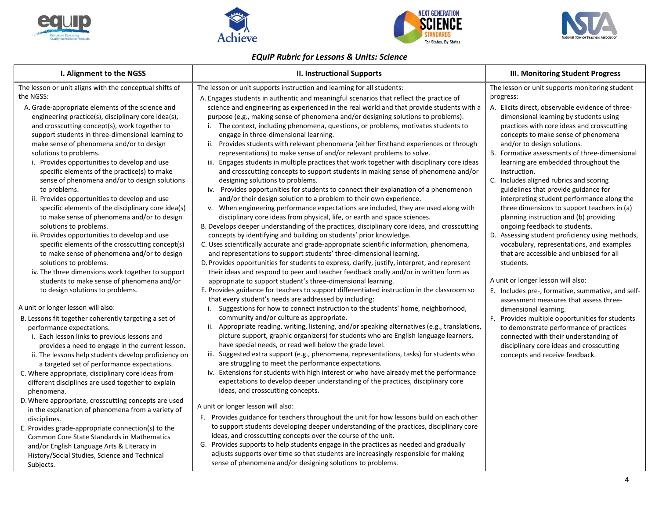







# *EQuIP Rubric for Lessons & Units: Science*

| I. Alignment to the NGSS                                                                                                                                                                                                                                                                                                                                                                                                                                                                                                                                                                                                                                                                                                                                       | II. Instructional Supports                                                                                                                                                                                                                                                                                                                                                                                                                                                                                                                                                                                                                                                                                                                                                                                                                                                                                                                                                                                                                                                                                                                                                                                                                                                                                                                                                          | <b>III. Monitoring Student Progress</b>                                                                                                                                                                                                                                                                                                                                                                                                                                                                                                                                                                                                                                                              |
|----------------------------------------------------------------------------------------------------------------------------------------------------------------------------------------------------------------------------------------------------------------------------------------------------------------------------------------------------------------------------------------------------------------------------------------------------------------------------------------------------------------------------------------------------------------------------------------------------------------------------------------------------------------------------------------------------------------------------------------------------------------|-------------------------------------------------------------------------------------------------------------------------------------------------------------------------------------------------------------------------------------------------------------------------------------------------------------------------------------------------------------------------------------------------------------------------------------------------------------------------------------------------------------------------------------------------------------------------------------------------------------------------------------------------------------------------------------------------------------------------------------------------------------------------------------------------------------------------------------------------------------------------------------------------------------------------------------------------------------------------------------------------------------------------------------------------------------------------------------------------------------------------------------------------------------------------------------------------------------------------------------------------------------------------------------------------------------------------------------------------------------------------------------|------------------------------------------------------------------------------------------------------------------------------------------------------------------------------------------------------------------------------------------------------------------------------------------------------------------------------------------------------------------------------------------------------------------------------------------------------------------------------------------------------------------------------------------------------------------------------------------------------------------------------------------------------------------------------------------------------|
| The lesson or unit aligns with the conceptual shifts of<br>the NGSS:<br>A. Grade-appropriate elements of the science and<br>engineering practice(s), disciplinary core idea(s),<br>and crosscutting concept(s), work together to<br>support students in three-dimensional learning to<br>make sense of phenomena and/or to design<br>solutions to problems.<br>i. Provides opportunities to develop and use<br>specific elements of the practice(s) to make<br>sense of phenomena and/or to design solutions<br>to problems.<br>ii. Provides opportunities to develop and use<br>specific elements of the disciplinary core idea(s)<br>to make sense of phenomena and/or to design<br>solutions to problems.<br>iii. Provides opportunities to develop and use | The lesson or unit supports instruction and learning for all students:<br>A. Engages students in authentic and meaningful scenarios that reflect the practice of<br>science and engineering as experienced in the real world and that provide students with a<br>purpose (e.g., making sense of phenomena and/or designing solutions to problems).<br>i. The context, including phenomena, questions, or problems, motivates students to<br>engage in three-dimensional learning.<br>ii. Provides students with relevant phenomena (either firsthand experiences or through<br>representations) to make sense of and/or relevant problems to solve.<br>iii. Engages students in multiple practices that work together with disciplinary core ideas<br>and crosscutting concepts to support students in making sense of phenomena and/or<br>designing solutions to problems.<br>iv. Provides opportunities for students to connect their explanation of a phenomenon<br>and/or their design solution to a problem to their own experience.<br>v. When engineering performance expectations are included, they are used along with<br>disciplinary core ideas from physical, life, or earth and space sciences.<br>B. Develops deeper understanding of the practices, disciplinary core ideas, and crosscutting<br>concepts by identifying and building on students' prior knowledge. | The lesson or unit supports monitoring student<br>progress:<br>A. Elicits direct, observable evidence of three-<br>dimensional learning by students using<br>practices with core ideas and crosscutting<br>concepts to make sense of phenomena<br>and/or to design solutions.<br>B. Formative assessments of three-dimensional<br>learning are embedded throughout the<br>instruction.<br>C. Includes aligned rubrics and scoring<br>guidelines that provide guidance for<br>interpreting student performance along the<br>three dimensions to support teachers in (a)<br>planning instruction and (b) providing<br>ongoing feedback to students.<br>D. Assessing student proficiency using methods, |
| specific elements of the crosscutting concept(s)<br>to make sense of phenomena and/or to design<br>solutions to problems.<br>iv. The three dimensions work together to support<br>students to make sense of phenomena and/or<br>to design solutions to problems.<br>A unit or longer lesson will also:<br>B. Lessons fit together coherently targeting a set of<br>performance expectations.<br>i. Each lesson links to previous lessons and<br>provides a need to engage in the current lesson.<br>ii. The lessons help students develop proficiency on<br>a targeted set of performance expectations.<br>C. Where appropriate, disciplinary core ideas from<br>different disciplines are used together to explain                                            | C. Uses scientifically accurate and grade-appropriate scientific information, phenomena,<br>and representations to support students' three-dimensional learning.<br>D. Provides opportunities for students to express, clarify, justify, interpret, and represent<br>their ideas and respond to peer and teacher feedback orally and/or in written form as<br>appropriate to support student's three-dimensional learning.<br>E. Provides guidance for teachers to support differentiated instruction in the classroom so<br>that every student's needs are addressed by including:<br>i. Suggestions for how to connect instruction to the students' home, neighborhood,<br>community and/or culture as appropriate.<br>ii. Appropriate reading, writing, listening, and/or speaking alternatives (e.g., translations,<br>picture support, graphic organizers) for students who are English language learners,<br>have special needs, or read well below the grade level.<br>iii. Suggested extra support (e.g., phenomena, representations, tasks) for students who<br>are struggling to meet the performance expectations.<br>iv. Extensions for students with high interest or who have already met the performance<br>expectations to develop deeper understanding of the practices, disciplinary core<br>ideas, and crosscutting concepts.                                    | vocabulary, representations, and examples<br>that are accessible and unbiased for all<br>students.<br>A unit or longer lesson will also:<br>E. Includes pre-, formative, summative, and self-<br>assessment measures that assess three-<br>dimensional learning.<br>F. Provides multiple opportunities for students<br>to demonstrate performance of practices<br>connected with their understanding of<br>disciplinary core ideas and crosscutting<br>concepts and receive feedback.                                                                                                                                                                                                                |
| phenomena.<br>D. Where appropriate, crosscutting concepts are used<br>in the explanation of phenomena from a variety of<br>disciplines.<br>E. Provides grade-appropriate connection(s) to the<br>Common Core State Standards in Mathematics<br>and/or English Language Arts & Literacy in<br>History/Social Studies, Science and Technical<br>Subjects.                                                                                                                                                                                                                                                                                                                                                                                                        | A unit or longer lesson will also:<br>F. Provides guidance for teachers throughout the unit for how lessons build on each other<br>to support students developing deeper understanding of the practices, disciplinary core<br>ideas, and crosscutting concepts over the course of the unit.<br>G. Provides supports to help students engage in the practices as needed and gradually<br>adjusts supports over time so that students are increasingly responsible for making<br>sense of phenomena and/or designing solutions to problems.                                                                                                                                                                                                                                                                                                                                                                                                                                                                                                                                                                                                                                                                                                                                                                                                                                           | $\Delta$                                                                                                                                                                                                                                                                                                                                                                                                                                                                                                                                                                                                                                                                                             |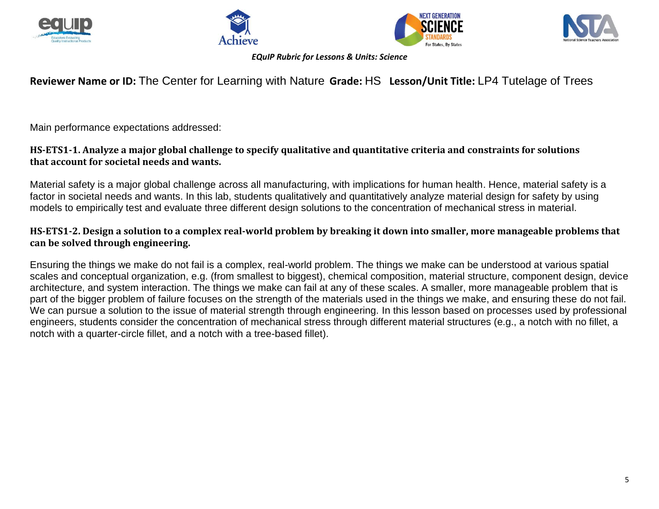







*EQuIP Rubric for Lessons & Units: Science*

# **Reviewer Name or ID:** The Center for Learning with Nature **Grade:** HS **Lesson/Unit Title:** LP4 Tutelage of Trees

Main performance expectations addressed:

# **HS-ETS1-1. Analyze a major global challenge to specify qualitative and quantitative criteria and constraints for solutions that account for societal needs and wants.**

Material safety is a major global challenge across all manufacturing, with implications for human health. Hence, material safety is a factor in societal needs and wants. In this lab, students qualitatively and quantitatively analyze material design for safety by using models to empirically test and evaluate three different design solutions to the concentration of mechanical stress in material.

# **HS-ETS1-2. Design a solution to a complex real-world problem by breaking it down into smaller, more manageable problems that can be solved through engineering.**

Ensuring the things we make do not fail is a complex, real-world problem. The things we make can be understood at various spatial scales and conceptual organization, e.g. (from smallest to biggest), chemical composition, material structure, component design, device architecture, and system interaction. The things we make can fail at any of these scales. A smaller, more manageable problem that is part of the bigger problem of failure focuses on the strength of the materials used in the things we make, and ensuring these do not fail. We can pursue a solution to the issue of material strength through engineering. In this lesson based on processes used by professional engineers, students consider the concentration of mechanical stress through different material structures (e.g., a notch with no fillet, a notch with a quarter-circle fillet, and a notch with a tree-based fillet).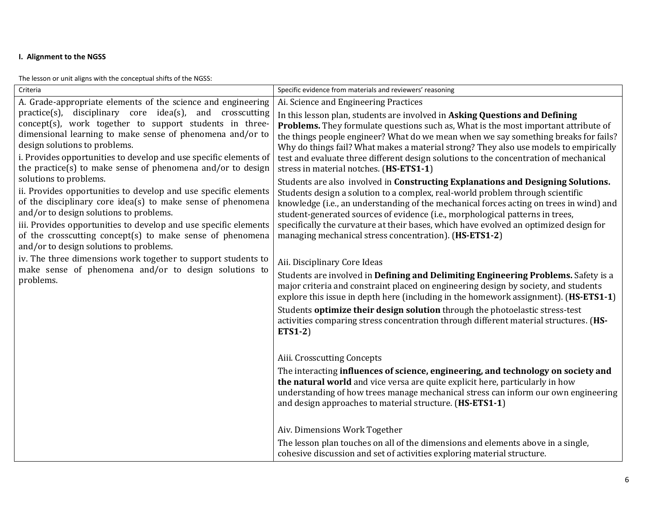## **I. Alignment to the NGSS**

The lesson or unit aligns with the conceptual shifts of the NGSS:

| Criteria                                                                                                                                                                                                                                                                                                                                                                        | Specific evidence from materials and reviewers' reasoning                                                                                                                                                                                                                                                                                                                                                                                                                                         |
|---------------------------------------------------------------------------------------------------------------------------------------------------------------------------------------------------------------------------------------------------------------------------------------------------------------------------------------------------------------------------------|---------------------------------------------------------------------------------------------------------------------------------------------------------------------------------------------------------------------------------------------------------------------------------------------------------------------------------------------------------------------------------------------------------------------------------------------------------------------------------------------------|
| A. Grade-appropriate elements of the science and engineering                                                                                                                                                                                                                                                                                                                    | Ai. Science and Engineering Practices                                                                                                                                                                                                                                                                                                                                                                                                                                                             |
| practice(s), disciplinary core idea(s), and crosscutting<br>concept(s), work together to support students in three-<br>dimensional learning to make sense of phenomena and/or to<br>design solutions to problems.<br>i. Provides opportunities to develop and use specific elements of<br>the practice(s) to make sense of phenomena and/or to design                           | In this lesson plan, students are involved in Asking Questions and Defining<br>Problems. They formulate questions such as, What is the most important attribute of<br>the things people engineer? What do we mean when we say something breaks for fails?<br>Why do things fail? What makes a material strong? They also use models to empirically<br>test and evaluate three different design solutions to the concentration of mechanical<br>stress in material notches. (HS-ETS1-1)            |
| solutions to problems.<br>ii. Provides opportunities to develop and use specific elements<br>of the disciplinary core idea(s) to make sense of phenomena<br>and/or to design solutions to problems.<br>iii. Provides opportunities to develop and use specific elements<br>of the crosscutting concept(s) to make sense of phenomena<br>and/or to design solutions to problems. | Students are also involved in Constructing Explanations and Designing Solutions.<br>Students design a solution to a complex, real-world problem through scientific<br>knowledge (i.e., an understanding of the mechanical forces acting on trees in wind) and<br>student-generated sources of evidence (i.e., morphological patterns in trees,<br>specifically the curvature at their bases, which have evolved an optimized design for<br>managing mechanical stress concentration). (HS-ETS1-2) |
| iv. The three dimensions work together to support students to<br>make sense of phenomena and/or to design solutions to<br>problems.                                                                                                                                                                                                                                             | Aii. Disciplinary Core Ideas<br>Students are involved in Defining and Delimiting Engineering Problems. Safety is a<br>major criteria and constraint placed on engineering design by society, and students<br>explore this issue in depth here (including in the homework assignment). (HS-ETS1-1)<br>Students optimize their design solution through the photoelastic stress-test<br>activities comparing stress concentration through different material structures. (HS-<br><b>ETS1-2)</b>      |
|                                                                                                                                                                                                                                                                                                                                                                                 | Aiii. Crosscutting Concepts<br>The interacting influences of science, engineering, and technology on society and<br>the natural world and vice versa are quite explicit here, particularly in how<br>understanding of how trees manage mechanical stress can inform our own engineering<br>and design approaches to material structure. (HS-ETS1-1)                                                                                                                                               |
|                                                                                                                                                                                                                                                                                                                                                                                 | Aiv. Dimensions Work Together<br>The lesson plan touches on all of the dimensions and elements above in a single,<br>cohesive discussion and set of activities exploring material structure.                                                                                                                                                                                                                                                                                                      |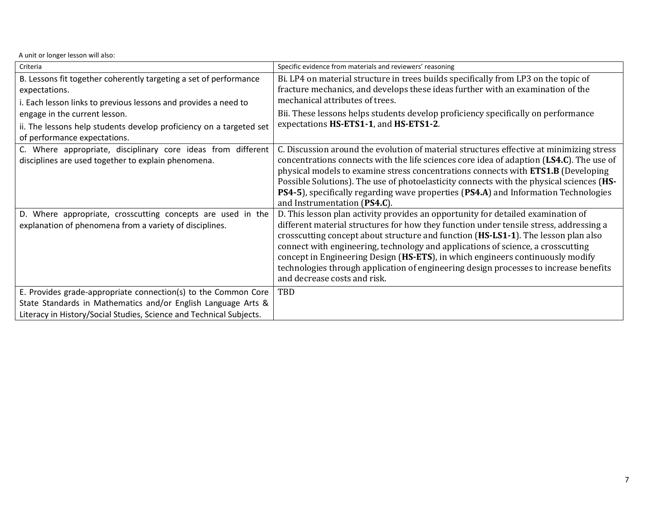| Criteria                                                            | Specific evidence from materials and reviewers' reasoning                                |
|---------------------------------------------------------------------|------------------------------------------------------------------------------------------|
| B. Lessons fit together coherently targeting a set of performance   | Bi. LP4 on material structure in trees builds specifically from LP3 on the topic of      |
| expectations.                                                       | fracture mechanics, and develops these ideas further with an examination of the          |
| i. Each lesson links to previous lessons and provides a need to     | mechanical attributes of trees.                                                          |
| engage in the current lesson.                                       | Bii. These lessons helps students develop proficiency specifically on performance        |
| ii. The lessons help students develop proficiency on a targeted set | expectations HS-ETS1-1, and HS-ETS1-2.                                                   |
| of performance expectations.                                        |                                                                                          |
| C. Where appropriate, disciplinary core ideas from different        | C. Discussion around the evolution of material structures effective at minimizing stress |
| disciplines are used together to explain phenomena.                 | concentrations connects with the life sciences core idea of adaption (LS4.C). The use of |
|                                                                     | physical models to examine stress concentrations connects with ETS1.B (Developing        |
|                                                                     | Possible Solutions). The use of photoelasticity connects with the physical sciences (HS- |
|                                                                     | PS4-5), specifically regarding wave properties (PS4.A) and Information Technologies      |
|                                                                     | and Instrumentation (PS4.C).                                                             |
| D. Where appropriate, crosscutting concepts are used in the         | D. This lesson plan activity provides an opportunity for detailed examination of         |
| explanation of phenomena from a variety of disciplines.             | different material structures for how they function under tensile stress, addressing a   |
|                                                                     | crosscutting concept about structure and function (HS-LS1-1). The lesson plan also       |
|                                                                     | connect with engineering, technology and applications of science, a crosscutting         |
|                                                                     | concept in Engineering Design (HS-ETS), in which engineers continuously modify           |
|                                                                     | technologies through application of engineering design processes to increase benefits    |
|                                                                     | and decrease costs and risk.                                                             |
| E. Provides grade-appropriate connection(s) to the Common Core      | TBD                                                                                      |
| State Standards in Mathematics and/or English Language Arts &       |                                                                                          |
| Literacy in History/Social Studies, Science and Technical Subjects. |                                                                                          |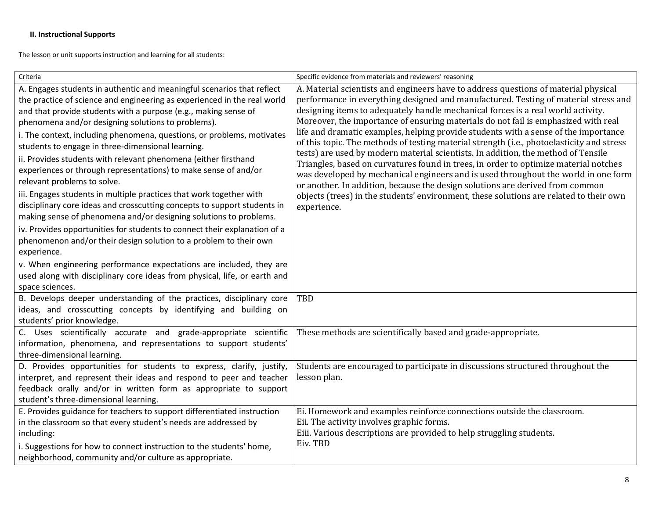## **II. Instructional Supports**

The lesson or unit supports instruction and learning for all students:

| Criteria                                                                                                                                                                                                                                                                                                                                                                                                                                                                                                                                                                                                                                                                                                                                                                                                                                                                                                                                                                                                                                                                                                                                        | Specific evidence from materials and reviewers' reasoning                                                                                                                                                                                                                                                                                                                                                                                                                                                                                                                                                                                                                                                                                                                                                                                                                                                                                                                                             |
|-------------------------------------------------------------------------------------------------------------------------------------------------------------------------------------------------------------------------------------------------------------------------------------------------------------------------------------------------------------------------------------------------------------------------------------------------------------------------------------------------------------------------------------------------------------------------------------------------------------------------------------------------------------------------------------------------------------------------------------------------------------------------------------------------------------------------------------------------------------------------------------------------------------------------------------------------------------------------------------------------------------------------------------------------------------------------------------------------------------------------------------------------|-------------------------------------------------------------------------------------------------------------------------------------------------------------------------------------------------------------------------------------------------------------------------------------------------------------------------------------------------------------------------------------------------------------------------------------------------------------------------------------------------------------------------------------------------------------------------------------------------------------------------------------------------------------------------------------------------------------------------------------------------------------------------------------------------------------------------------------------------------------------------------------------------------------------------------------------------------------------------------------------------------|
| A. Engages students in authentic and meaningful scenarios that reflect<br>the practice of science and engineering as experienced in the real world<br>and that provide students with a purpose (e.g., making sense of<br>phenomena and/or designing solutions to problems).<br>i. The context, including phenomena, questions, or problems, motivates<br>students to engage in three-dimensional learning.<br>ii. Provides students with relevant phenomena (either firsthand<br>experiences or through representations) to make sense of and/or<br>relevant problems to solve.<br>iii. Engages students in multiple practices that work together with<br>disciplinary core ideas and crosscutting concepts to support students in<br>making sense of phenomena and/or designing solutions to problems.<br>iv. Provides opportunities for students to connect their explanation of a<br>phenomenon and/or their design solution to a problem to their own<br>experience.<br>v. When engineering performance expectations are included, they are<br>used along with disciplinary core ideas from physical, life, or earth and<br>space sciences. | A. Material scientists and engineers have to address questions of material physical<br>performance in everything designed and manufactured. Testing of material stress and<br>designing items to adequately handle mechanical forces is a real world activity.<br>Moreover, the importance of ensuring materials do not fail is emphasized with real<br>life and dramatic examples, helping provide students with a sense of the importance<br>of this topic. The methods of testing material strength (i.e., photoelasticity and stress<br>tests) are used by modern material scientists. In addition, the method of Tensile<br>Triangles, based on curvatures found in trees, in order to optimize material notches<br>was developed by mechanical engineers and is used throughout the world in one form<br>or another. In addition, because the design solutions are derived from common<br>objects (trees) in the students' environment, these solutions are related to their own<br>experience. |
| B. Develops deeper understanding of the practices, disciplinary core<br>ideas, and crosscutting concepts by identifying and building on<br>students' prior knowledge.                                                                                                                                                                                                                                                                                                                                                                                                                                                                                                                                                                                                                                                                                                                                                                                                                                                                                                                                                                           | TBD                                                                                                                                                                                                                                                                                                                                                                                                                                                                                                                                                                                                                                                                                                                                                                                                                                                                                                                                                                                                   |
| C. Uses scientifically accurate and grade-appropriate scientific<br>information, phenomena, and representations to support students'<br>three-dimensional learning.                                                                                                                                                                                                                                                                                                                                                                                                                                                                                                                                                                                                                                                                                                                                                                                                                                                                                                                                                                             | These methods are scientifically based and grade-appropriate.                                                                                                                                                                                                                                                                                                                                                                                                                                                                                                                                                                                                                                                                                                                                                                                                                                                                                                                                         |
| D. Provides opportunities for students to express, clarify, justify,<br>interpret, and represent their ideas and respond to peer and teacher<br>feedback orally and/or in written form as appropriate to support<br>student's three-dimensional learning.                                                                                                                                                                                                                                                                                                                                                                                                                                                                                                                                                                                                                                                                                                                                                                                                                                                                                       | Students are encouraged to participate in discussions structured throughout the<br>lesson plan.                                                                                                                                                                                                                                                                                                                                                                                                                                                                                                                                                                                                                                                                                                                                                                                                                                                                                                       |
| E. Provides guidance for teachers to support differentiated instruction<br>in the classroom so that every student's needs are addressed by<br>including:<br>i. Suggestions for how to connect instruction to the students' home,<br>neighborhood, community and/or culture as appropriate.                                                                                                                                                                                                                                                                                                                                                                                                                                                                                                                                                                                                                                                                                                                                                                                                                                                      | Ei. Homework and examples reinforce connections outside the classroom.<br>Eii. The activity involves graphic forms.<br>Eiii. Various descriptions are provided to help struggling students.<br>Eiv. TBD                                                                                                                                                                                                                                                                                                                                                                                                                                                                                                                                                                                                                                                                                                                                                                                               |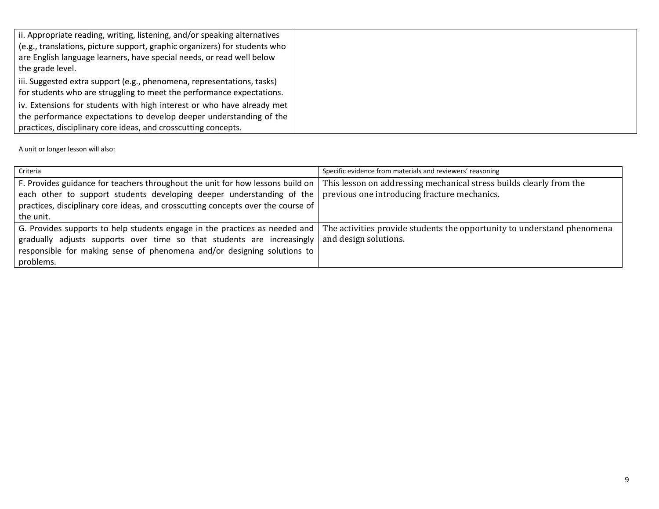| ii. Appropriate reading, writing, listening, and/or speaking alternatives<br>(e.g., translations, picture support, graphic organizers) for students who<br>are English language learners, have special needs, or read well below<br>the grade level. |  |
|------------------------------------------------------------------------------------------------------------------------------------------------------------------------------------------------------------------------------------------------------|--|
| iii. Suggested extra support (e.g., phenomena, representations, tasks)<br>for students who are struggling to meet the performance expectations.                                                                                                      |  |
| iv. Extensions for students with high interest or who have already met<br>the performance expectations to develop deeper understanding of the<br>practices, disciplinary core ideas, and crosscutting concepts.                                      |  |

| Criteria                                                                         | Specific evidence from materials and reviewers' reasoning               |
|----------------------------------------------------------------------------------|-------------------------------------------------------------------------|
| F. Provides guidance for teachers throughout the unit for how lessons build on   | This lesson on addressing mechanical stress builds clearly from the     |
| each other to support students developing deeper understanding of the            | previous one introducing fracture mechanics.                            |
| practices, disciplinary core ideas, and crosscutting concepts over the course of |                                                                         |
| the unit.                                                                        |                                                                         |
| G. Provides supports to help students engage in the practices as needed and      | The activities provide students the opportunity to understand phenomena |
| gradually adjusts supports over time so that students are increasingly           | and design solutions.                                                   |
| responsible for making sense of phenomena and/or designing solutions to          |                                                                         |
| problems.                                                                        |                                                                         |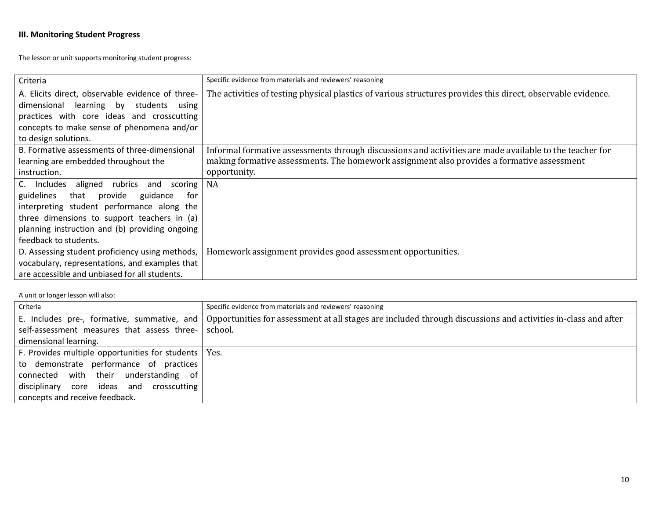# **III. Monitoring Student Progress**

The lesson or unit supports monitoring student progress:

| Criteria                                         | Specific evidence from materials and reviewers' reasoning                                                    |
|--------------------------------------------------|--------------------------------------------------------------------------------------------------------------|
| A. Elicits direct, observable evidence of three- | The activities of testing physical plastics of various structures provides this direct, observable evidence. |
| dimensional<br>learning by students using        |                                                                                                              |
| practices with core ideas and crosscutting       |                                                                                                              |
| concepts to make sense of phenomena and/or       |                                                                                                              |
| to design solutions.                             |                                                                                                              |
| B. Formative assessments of three-dimensional    | Informal formative assessments through discussions and activities are made available to the teacher for      |
| learning are embedded throughout the             | making formative assessments. The homework assignment also provides a formative assessment                   |
| instruction.                                     | opportunity.                                                                                                 |
| C. Includes aligned<br>rubrics and<br>scoring    | NA                                                                                                           |
| that<br>guidance<br>guidelines<br>provide<br>for |                                                                                                              |
| interpreting student performance along the       |                                                                                                              |
| three dimensions to support teachers in (a)      |                                                                                                              |
| planning instruction and (b) providing ongoing   |                                                                                                              |
| feedback to students.                            |                                                                                                              |
| D. Assessing student proficiency using methods,  | Homework assignment provides good assessment opportunities.                                                  |
| vocabulary, representations, and examples that   |                                                                                                              |
| are accessible and unbiased for all students.    |                                                                                                              |

| Criteria                                               | Specific evidence from materials and reviewers' reasoning                                                     |
|--------------------------------------------------------|---------------------------------------------------------------------------------------------------------------|
| E. Includes pre-, formative, summative, and            | Opportunities for assessment at all stages are included through discussions and activities in-class and after |
| self-assessment measures that assess three-            | school.                                                                                                       |
| dimensional learning.                                  |                                                                                                               |
| F. Provides multiple opportunities for students   Yes. |                                                                                                               |
| to demonstrate performance of practices                |                                                                                                               |
| connected with their understanding of                  |                                                                                                               |
| disciplinary core ideas and<br>crosscutting            |                                                                                                               |
| concepts and receive feedback.                         |                                                                                                               |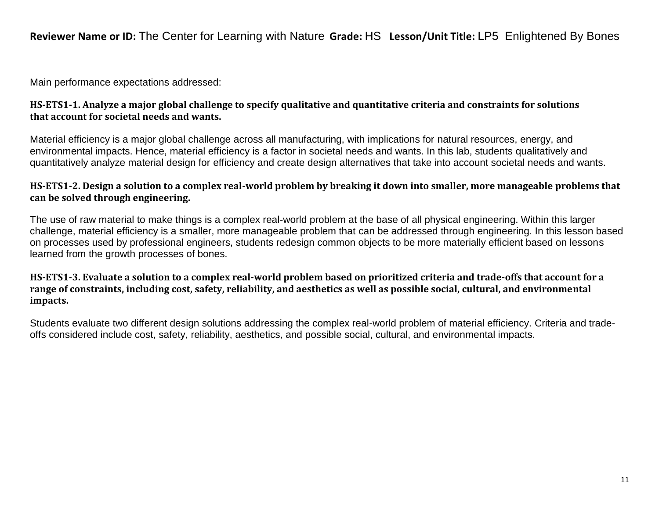# **Reviewer Name or ID:** The Center for Learning with Nature **Grade:** HS **Lesson/Unit Title:** LP5 Enlightened By Bones

Main performance expectations addressed:

## **HS-ETS1-1. Analyze a major global challenge to specify qualitative and quantitative criteria and constraints for solutions that account for societal needs and wants.**

Material efficiency is a major global challenge across all manufacturing, with implications for natural resources, energy, and environmental impacts. Hence, material efficiency is a factor in societal needs and wants. In this lab, students qualitatively and quantitatively analyze material design for efficiency and create design alternatives that take into account societal needs and wants.

# **HS-ETS1-2. Design a solution to a complex real-world problem by breaking it down into smaller, more manageable problems that can be solved through engineering.**

The use of raw material to make things is a complex real-world problem at the base of all physical engineering. Within this larger challenge, material efficiency is a smaller, more manageable problem that can be addressed through engineering. In this lesson based on processes used by professional engineers, students redesign common objects to be more materially efficient based on lessons learned from the growth processes of bones.

# **HS-ETS1-3. Evaluate a solution to a complex real-world problem based on prioritized criteria and trade-offs that account for a range of constraints, including cost, safety, reliability, and aesthetics as well as possible social, cultural, and environmental impacts.**

Students evaluate two different design solutions addressing the complex real-world problem of material efficiency. Criteria and tradeoffs considered include cost, safety, reliability, aesthetics, and possible social, cultural, and environmental impacts.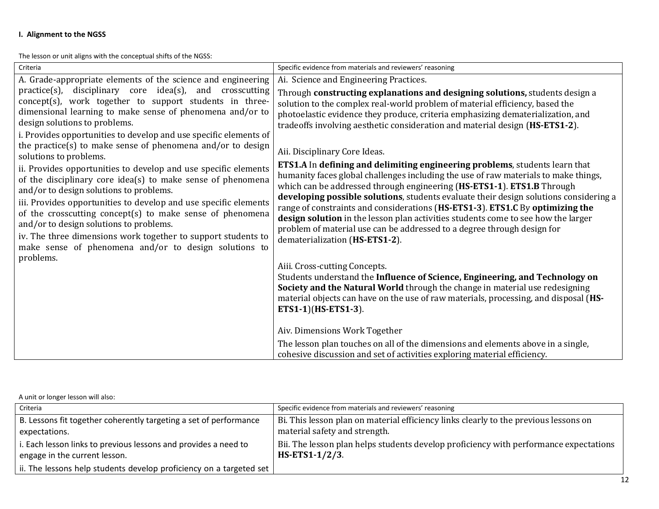## **I. Alignment to the NGSS**

The lesson or unit aligns with the conceptual shifts of the NGSS:

| Criteria                                                                                                                                                                                                                                                                                                                                                                                                                                           | Specific evidence from materials and reviewers' reasoning                                                                                                                                                                                                                                                                                                                                                                                                                                                                                 |
|----------------------------------------------------------------------------------------------------------------------------------------------------------------------------------------------------------------------------------------------------------------------------------------------------------------------------------------------------------------------------------------------------------------------------------------------------|-------------------------------------------------------------------------------------------------------------------------------------------------------------------------------------------------------------------------------------------------------------------------------------------------------------------------------------------------------------------------------------------------------------------------------------------------------------------------------------------------------------------------------------------|
| A. Grade-appropriate elements of the science and engineering                                                                                                                                                                                                                                                                                                                                                                                       | Ai. Science and Engineering Practices.                                                                                                                                                                                                                                                                                                                                                                                                                                                                                                    |
| practice(s), disciplinary core idea(s), and crosscutting<br>concept(s), work together to support students in three-<br>dimensional learning to make sense of phenomena and/or to<br>design solutions to problems.<br>i. Provides opportunities to develop and use specific elements of<br>the practice(s) to make sense of phenomena and/or to design<br>solutions to problems.<br>ii. Provides opportunities to develop and use specific elements | Through constructing explanations and designing solutions, students design a<br>solution to the complex real-world problem of material efficiency, based the<br>photoelastic evidence they produce, criteria emphasizing dematerialization, and<br>tradeoffs involving aesthetic consideration and material design (HS-ETS1-2).<br>Aii. Disciplinary Core Ideas.<br><b>ETS1.A</b> In <b>defining and delimiting engineering problems</b> , students learn that                                                                            |
| of the disciplinary core idea(s) to make sense of phenomena<br>and/or to design solutions to problems.<br>iii. Provides opportunities to develop and use specific elements<br>of the crosscutting concept(s) to make sense of phenomena<br>and/or to design solutions to problems.<br>iv. The three dimensions work together to support students to<br>make sense of phenomena and/or to design solutions to<br>problems.                          | humanity faces global challenges including the use of raw materials to make things,<br>which can be addressed through engineering (HS-ETS1-1). ETS1.B Through<br>developing possible solutions, students evaluate their design solutions considering a<br>range of constraints and considerations (HS-ETS1-3). ETS1.C By optimizing the<br>design solution in the lesson plan activities students come to see how the larger<br>problem of material use can be addressed to a degree through design for<br>dematerialization (HS-ETS1-2). |
|                                                                                                                                                                                                                                                                                                                                                                                                                                                    | Aiii. Cross-cutting Concepts.<br>Students understand the Influence of Science, Engineering, and Technology on<br>Society and the Natural World through the change in material use redesigning<br>material objects can have on the use of raw materials, processing, and disposal (HS-<br>ETS1-1)(HS-ETS1-3).                                                                                                                                                                                                                              |
|                                                                                                                                                                                                                                                                                                                                                                                                                                                    | Aiv. Dimensions Work Together                                                                                                                                                                                                                                                                                                                                                                                                                                                                                                             |
|                                                                                                                                                                                                                                                                                                                                                                                                                                                    | The lesson plan touches on all of the dimensions and elements above in a single,<br>cohesive discussion and set of activities exploring material efficiency.                                                                                                                                                                                                                                                                                                                                                                              |

| Criteria                                                            | Specific evidence from materials and reviewers' reasoning                             |
|---------------------------------------------------------------------|---------------------------------------------------------------------------------------|
| B. Lessons fit together coherently targeting a set of performance   | Bi. This lesson plan on material efficiency links clearly to the previous lessons on  |
| expectations.                                                       | material safety and strength.                                                         |
| i. Each lesson links to previous lessons and provides a need to     | Bii. The lesson plan helps students develop proficiency with performance expectations |
| engage in the current lesson.                                       | $HS-ETS1-1/2/3.$                                                                      |
| ii. The lessons help students develop proficiency on a targeted set |                                                                                       |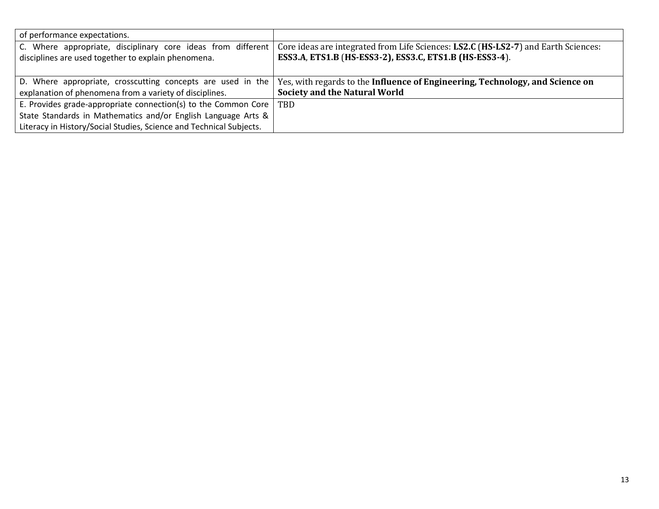| of performance expectations.                                                                                        |                                                                                                                                               |
|---------------------------------------------------------------------------------------------------------------------|-----------------------------------------------------------------------------------------------------------------------------------------------|
| C. Where appropriate, disciplinary core ideas from different<br>disciplines are used together to explain phenomena. | Core ideas are integrated from Life Sciences: LS2.C (HS-LS2-7) and Earth Sciences:<br>ESS3.A, ETS1.B (HS-ESS3-2), ESS3.C, ETS1.B (HS-ESS3-4). |
| D. Where appropriate, crosscutting concepts are used in the                                                         | Yes, with regards to the Influence of Engineering, Technology, and Science on                                                                 |
| explanation of phenomena from a variety of disciplines.                                                             | <b>Society and the Natural World</b>                                                                                                          |
| E. Provides grade-appropriate connection(s) to the Common Core $\vert$ TBD                                          |                                                                                                                                               |
| State Standards in Mathematics and/or English Language Arts &                                                       |                                                                                                                                               |
| Literacy in History/Social Studies, Science and Technical Subjects.                                                 |                                                                                                                                               |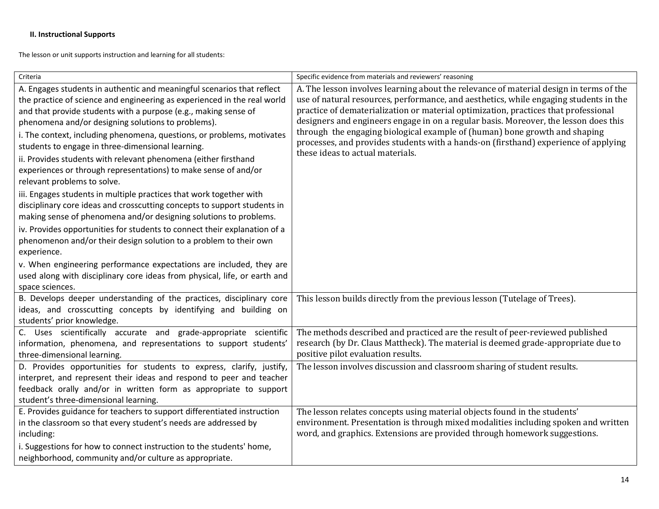## **II. Instructional Supports**

The lesson or unit supports instruction and learning for all students:

| Criteria                                                                                                                                                                                                                                                                                                                                                                                                                                                                                                                                                                                                                                                                                                                                                                                                                                                                                                                                                                                                                                                                                                                                        | Specific evidence from materials and reviewers' reasoning                                                                                                                                                                                                                                                                                                                                                                                                                                                                                                               |
|-------------------------------------------------------------------------------------------------------------------------------------------------------------------------------------------------------------------------------------------------------------------------------------------------------------------------------------------------------------------------------------------------------------------------------------------------------------------------------------------------------------------------------------------------------------------------------------------------------------------------------------------------------------------------------------------------------------------------------------------------------------------------------------------------------------------------------------------------------------------------------------------------------------------------------------------------------------------------------------------------------------------------------------------------------------------------------------------------------------------------------------------------|-------------------------------------------------------------------------------------------------------------------------------------------------------------------------------------------------------------------------------------------------------------------------------------------------------------------------------------------------------------------------------------------------------------------------------------------------------------------------------------------------------------------------------------------------------------------------|
| A. Engages students in authentic and meaningful scenarios that reflect<br>the practice of science and engineering as experienced in the real world<br>and that provide students with a purpose (e.g., making sense of<br>phenomena and/or designing solutions to problems).<br>i. The context, including phenomena, questions, or problems, motivates<br>students to engage in three-dimensional learning.<br>ii. Provides students with relevant phenomena (either firsthand<br>experiences or through representations) to make sense of and/or<br>relevant problems to solve.<br>iii. Engages students in multiple practices that work together with<br>disciplinary core ideas and crosscutting concepts to support students in<br>making sense of phenomena and/or designing solutions to problems.<br>iv. Provides opportunities for students to connect their explanation of a<br>phenomenon and/or their design solution to a problem to their own<br>experience.<br>v. When engineering performance expectations are included, they are<br>used along with disciplinary core ideas from physical, life, or earth and<br>space sciences. | A. The lesson involves learning about the relevance of material design in terms of the<br>use of natural resources, performance, and aesthetics, while engaging students in the<br>practice of dematerialization or material optimization, practices that professional<br>designers and engineers engage in on a regular basis. Moreover, the lesson does this<br>through the engaging biological example of (human) bone growth and shaping<br>processes, and provides students with a hands-on (firsthand) experience of applying<br>these ideas to actual materials. |
| B. Develops deeper understanding of the practices, disciplinary core<br>ideas, and crosscutting concepts by identifying and building on<br>students' prior knowledge.                                                                                                                                                                                                                                                                                                                                                                                                                                                                                                                                                                                                                                                                                                                                                                                                                                                                                                                                                                           | This lesson builds directly from the previous lesson (Tutelage of Trees).                                                                                                                                                                                                                                                                                                                                                                                                                                                                                               |
| C. Uses scientifically accurate and grade-appropriate scientific<br>information, phenomena, and representations to support students'<br>three-dimensional learning.                                                                                                                                                                                                                                                                                                                                                                                                                                                                                                                                                                                                                                                                                                                                                                                                                                                                                                                                                                             | The methods described and practiced are the result of peer-reviewed published<br>research (by Dr. Claus Mattheck). The material is deemed grade-appropriate due to<br>positive pilot evaluation results.                                                                                                                                                                                                                                                                                                                                                                |
| D. Provides opportunities for students to express, clarify, justify,<br>interpret, and represent their ideas and respond to peer and teacher<br>feedback orally and/or in written form as appropriate to support<br>student's three-dimensional learning.                                                                                                                                                                                                                                                                                                                                                                                                                                                                                                                                                                                                                                                                                                                                                                                                                                                                                       | The lesson involves discussion and classroom sharing of student results.                                                                                                                                                                                                                                                                                                                                                                                                                                                                                                |
| E. Provides guidance for teachers to support differentiated instruction<br>in the classroom so that every student's needs are addressed by<br>including:<br>i. Suggestions for how to connect instruction to the students' home,<br>neighborhood, community and/or culture as appropriate.                                                                                                                                                                                                                                                                                                                                                                                                                                                                                                                                                                                                                                                                                                                                                                                                                                                      | The lesson relates concepts using material objects found in the students'<br>environment. Presentation is through mixed modalities including spoken and written<br>word, and graphics. Extensions are provided through homework suggestions.                                                                                                                                                                                                                                                                                                                            |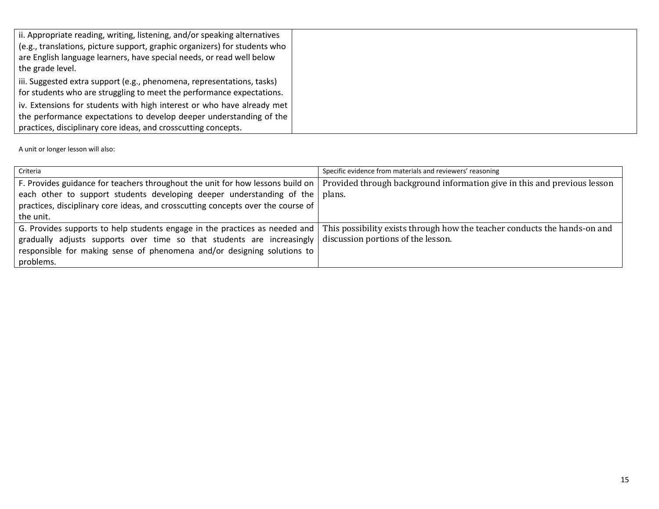| ii. Appropriate reading, writing, listening, and/or speaking alternatives<br>(e.g., translations, picture support, graphic organizers) for students who<br>are English language learners, have special needs, or read well below<br>the grade level. |  |
|------------------------------------------------------------------------------------------------------------------------------------------------------------------------------------------------------------------------------------------------------|--|
| iii. Suggested extra support (e.g., phenomena, representations, tasks)<br>for students who are struggling to meet the performance expectations.                                                                                                      |  |
| iv. Extensions for students with high interest or who have already met<br>the performance expectations to develop deeper understanding of the<br>practices, disciplinary core ideas, and crosscutting concepts.                                      |  |

| Criteria                                                                                                                                                        | Specific evidence from materials and reviewers' reasoning |
|-----------------------------------------------------------------------------------------------------------------------------------------------------------------|-----------------------------------------------------------|
| F. Provides guidance for teachers throughout the unit for how lessons build on $\vert$ Provided through background information give in this and previous lesson |                                                           |
| each other to support students developing deeper understanding of the $\vert$ plans.                                                                            |                                                           |
| practices, disciplinary core ideas, and crosscutting concepts over the course of                                                                                |                                                           |
| the unit.                                                                                                                                                       |                                                           |
| G. Provides supports to help students engage in the practices as needed and This possibility exists through how the teacher conducts the hands-on and           |                                                           |
| gradually adjusts supports over time so that students are increasingly                                                                                          | discussion portions of the lesson.                        |
| responsible for making sense of phenomena and/or designing solutions to                                                                                         |                                                           |
| problems.                                                                                                                                                       |                                                           |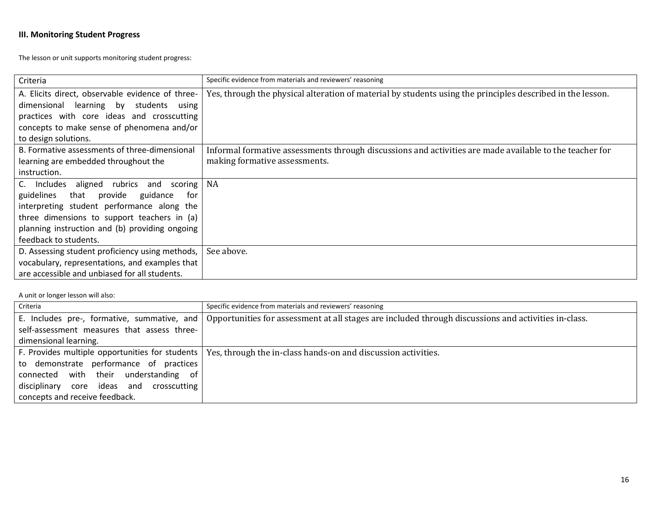## **III. Monitoring Student Progress**

The lesson or unit supports monitoring student progress:

| Criteria                                         | Specific evidence from materials and reviewers' reasoning                                                  |
|--------------------------------------------------|------------------------------------------------------------------------------------------------------------|
| A. Elicits direct, observable evidence of three- | Yes, through the physical alteration of material by students using the principles described in the lesson. |
| dimensional learning by students using           |                                                                                                            |
| practices with core ideas and crosscutting       |                                                                                                            |
| concepts to make sense of phenomena and/or       |                                                                                                            |
| to design solutions.                             |                                                                                                            |
| B. Formative assessments of three-dimensional    | Informal formative assessments through discussions and activities are made available to the teacher for    |
| learning are embedded throughout the             | making formative assessments.                                                                              |
| instruction.                                     |                                                                                                            |
| C. Includes aligned rubrics and<br>scoring       | NA                                                                                                         |
| that provide<br>guidelines<br>guidance<br>for    |                                                                                                            |
| interpreting student performance along the       |                                                                                                            |
| three dimensions to support teachers in (a)      |                                                                                                            |
| planning instruction and (b) providing ongoing   |                                                                                                            |
| feedback to students.                            |                                                                                                            |
| D. Assessing student proficiency using methods,  | See above.                                                                                                 |
| vocabulary, representations, and examples that   |                                                                                                            |
| are accessible and unbiased for all students.    |                                                                                                            |

| Criteria                                    | Specific evidence from materials and reviewers' reasoning                                                       |
|---------------------------------------------|-----------------------------------------------------------------------------------------------------------------|
| E. Includes pre-, formative, summative, and | Opportunities for assessment at all stages are included through discussions and activities in-class.            |
| self-assessment measures that assess three- |                                                                                                                 |
| dimensional learning.                       |                                                                                                                 |
|                                             | F. Provides multiple opportunities for students   Yes, through the in-class hands-on and discussion activities. |
| to demonstrate performance of practices     |                                                                                                                 |
| connected with their understanding of       |                                                                                                                 |
| disciplinary core ideas and crosscutting    |                                                                                                                 |
| concepts and receive feedback.              |                                                                                                                 |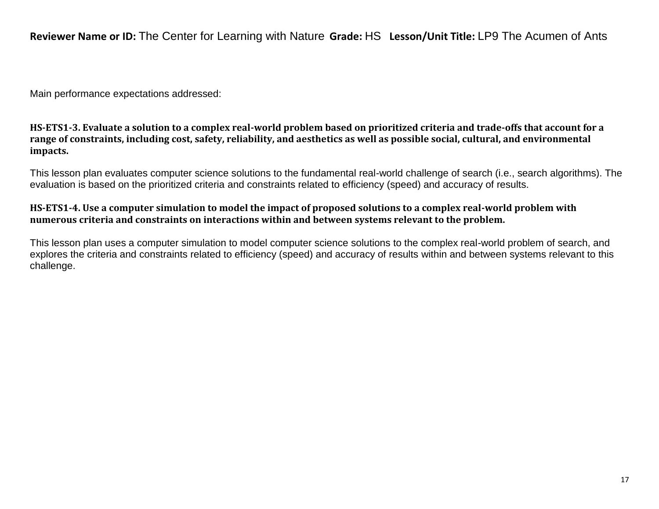**Reviewer Name or ID:** The Center for Learning with Nature **Grade:** HS **Lesson/Unit Title:** LP9 The Acumen of Ants

Main performance expectations addressed:

**HS-ETS1-3. Evaluate a solution to a complex real-world problem based on prioritized criteria and trade-offs that account for a range of constraints, including cost, safety, reliability, and aesthetics as well as possible social, cultural, and environmental impacts.**

This lesson plan evaluates computer science solutions to the fundamental real-world challenge of search (i.e., search algorithms). The evaluation is based on the prioritized criteria and constraints related to efficiency (speed) and accuracy of results.

# **HS-ETS1-4. Use a computer simulation to model the impact of proposed solutions to a complex real-world problem with numerous criteria and constraints on interactions within and between systems relevant to the problem.**

This lesson plan uses a computer simulation to model computer science solutions to the complex real-world problem of search, and explores the criteria and constraints related to efficiency (speed) and accuracy of results within and between systems relevant to this challenge.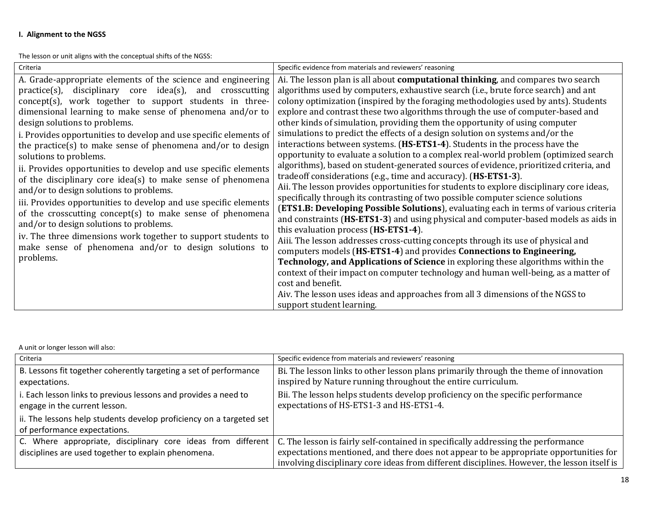## **I. Alignment to the NGSS**

The lesson or unit aligns with the conceptual shifts of the NGSS:

| Criteria                                                          | Specific evidence from materials and reviewers' reasoning                                |
|-------------------------------------------------------------------|------------------------------------------------------------------------------------------|
| A. Grade-appropriate elements of the science and engineering      | Ai. The lesson plan is all about <b>computational thinking</b> , and compares two search |
| practice(s), disciplinary core idea(s), and crosscutting          | algorithms used by computers, exhaustive search (i.e., brute force search) and ant       |
| concept(s), work together to support students in three-           | colony optimization (inspired by the foraging methodologies used by ants). Students      |
| dimensional learning to make sense of phenomena and/or to         | explore and contrast these two algorithms through the use of computer-based and          |
| design solutions to problems.                                     | other kinds of simulation, providing them the opportunity of using computer              |
| i. Provides opportunities to develop and use specific elements of | simulations to predict the effects of a design solution on systems and/or the            |
| the practice(s) to make sense of phenomena and/or to design       | interactions between systems. (HS-ETS1-4). Students in the process have the              |
| solutions to problems.                                            | opportunity to evaluate a solution to a complex real-world problem (optimized search     |
| ii. Provides opportunities to develop and use specific elements   | algorithms), based on student-generated sources of evidence, prioritized criteria, and   |
| of the disciplinary core idea(s) to make sense of phenomena       | tradeoff considerations (e.g., time and accuracy). (HS-ETS1-3).                          |
| and/or to design solutions to problems.                           | Aii. The lesson provides opportunities for students to explore disciplinary core ideas,  |
| iii. Provides opportunities to develop and use specific elements  | specifically through its contrasting of two possible computer science solutions          |
| of the crosscutting concept(s) to make sense of phenomena         | (ETS1.B: Developing Possible Solutions), evaluating each in terms of various criteria    |
| and/or to design solutions to problems.                           | and constraints (HS-ETS1-3) and using physical and computer-based models as aids in      |
| iv. The three dimensions work together to support students to     | this evaluation process (HS-ETS1-4).                                                     |
| make sense of phenomena and/or to design solutions to             | Aiii. The lesson addresses cross-cutting concepts through its use of physical and        |
| problems.                                                         | computers models (HS-ETS1-4) and provides Connections to Engineering,                    |
|                                                                   | Technology, and Applications of Science in exploring these algorithms within the         |
|                                                                   | context of their impact on computer technology and human well-being, as a matter of      |
|                                                                   | cost and benefit.                                                                        |
|                                                                   | Aiv. The lesson uses ideas and approaches from all 3 dimensions of the NGSS to           |
|                                                                   | support student learning.                                                                |

| Criteria                                                                                         | Specific evidence from materials and reviewers' reasoning                                                                  |
|--------------------------------------------------------------------------------------------------|----------------------------------------------------------------------------------------------------------------------------|
| B. Lessons fit together coherently targeting a set of performance                                | Bi. The lesson links to other lesson plans primarily through the theme of innovation                                       |
| expectations.                                                                                    | inspired by Nature running throughout the entire curriculum.                                                               |
| i. Each lesson links to previous lessons and provides a need to<br>engage in the current lesson. | Bii. The lesson helps students develop proficiency on the specific performance<br>expectations of HS-ETS1-3 and HS-ETS1-4. |
| ii. The lessons help students develop proficiency on a targeted set                              |                                                                                                                            |
| of performance expectations.                                                                     |                                                                                                                            |
| C. Where appropriate, disciplinary core ideas from different                                     | C. The lesson is fairly self-contained in specifically addressing the performance                                          |
| disciplines are used together to explain phenomena.                                              | expectations mentioned, and there does not appear to be appropriate opportunities for                                      |
|                                                                                                  | involving disciplinary core ideas from different disciplines. However, the lesson itself is                                |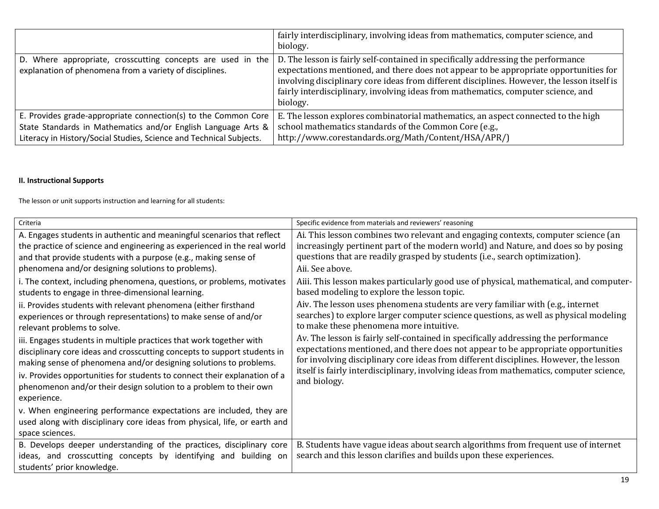|                                                                                                                                                                                                        | fairly interdisciplinary, involving ideas from mathematics, computer science, and<br>biology.                                                                                                                                                                                                                                                                              |
|--------------------------------------------------------------------------------------------------------------------------------------------------------------------------------------------------------|----------------------------------------------------------------------------------------------------------------------------------------------------------------------------------------------------------------------------------------------------------------------------------------------------------------------------------------------------------------------------|
| D. Where appropriate, crosscutting concepts are used in the<br>explanation of phenomena from a variety of disciplines.                                                                                 | D. The lesson is fairly self-contained in specifically addressing the performance<br>expectations mentioned, and there does not appear to be appropriate opportunities for<br>involving disciplinary core ideas from different disciplines. However, the lesson itself is<br>fairly interdisciplinary, involving ideas from mathematics, computer science, and<br>biology. |
| E. Provides grade-appropriate connection(s) to the Common Core<br>State Standards in Mathematics and/or English Language Arts &<br>Literacy in History/Social Studies, Science and Technical Subjects. | E. The lesson explores combinatorial mathematics, an aspect connected to the high<br>school mathematics standards of the Common Core (e.g.,<br>http://www.corestandards.org/Math/Content/HSA/APR/)                                                                                                                                                                         |

## **II. Instructional Supports**

The lesson or unit supports instruction and learning for all students:

| Criteria                                                                                                                                                                                                                                                                                                                                                                              | Specific evidence from materials and reviewers' reasoning                                                                                                                                                                                                                                                                                                                   |
|---------------------------------------------------------------------------------------------------------------------------------------------------------------------------------------------------------------------------------------------------------------------------------------------------------------------------------------------------------------------------------------|-----------------------------------------------------------------------------------------------------------------------------------------------------------------------------------------------------------------------------------------------------------------------------------------------------------------------------------------------------------------------------|
| A. Engages students in authentic and meaningful scenarios that reflect<br>the practice of science and engineering as experienced in the real world<br>and that provide students with a purpose (e.g., making sense of<br>phenomena and/or designing solutions to problems).                                                                                                           | Ai. This lesson combines two relevant and engaging contexts, computer science (an<br>increasingly pertinent part of the modern world) and Nature, and does so by posing<br>questions that are readily grasped by students (i.e., search optimization).<br>Aii. See above.                                                                                                   |
| i. The context, including phenomena, questions, or problems, motivates<br>students to engage in three-dimensional learning.                                                                                                                                                                                                                                                           | Aiii. This lesson makes particularly good use of physical, mathematical, and computer-<br>based modeling to explore the lesson topic.                                                                                                                                                                                                                                       |
| ii. Provides students with relevant phenomena (either firsthand<br>experiences or through representations) to make sense of and/or<br>relevant problems to solve.                                                                                                                                                                                                                     | Aiv. The lesson uses phenomena students are very familiar with (e.g., internet<br>searches) to explore larger computer science questions, as well as physical modeling<br>to make these phenomena more intuitive.                                                                                                                                                           |
| iii. Engages students in multiple practices that work together with<br>disciplinary core ideas and crosscutting concepts to support students in<br>making sense of phenomena and/or designing solutions to problems.<br>iv. Provides opportunities for students to connect their explanation of a<br>phenomenon and/or their design solution to a problem to their own<br>experience. | Av. The lesson is fairly self-contained in specifically addressing the performance<br>expectations mentioned, and there does not appear to be appropriate opportunities<br>for involving disciplinary core ideas from different disciplines. However, the lesson<br>itself is fairly interdisciplinary, involving ideas from mathematics, computer science,<br>and biology. |
| v. When engineering performance expectations are included, they are<br>used along with disciplinary core ideas from physical, life, or earth and<br>space sciences.                                                                                                                                                                                                                   |                                                                                                                                                                                                                                                                                                                                                                             |
| B. Develops deeper understanding of the practices, disciplinary core<br>ideas, and crosscutting concepts by identifying and<br>building on<br>students' prior knowledge.                                                                                                                                                                                                              | B. Students have vague ideas about search algorithms from frequent use of internet<br>search and this lesson clarifies and builds upon these experiences.                                                                                                                                                                                                                   |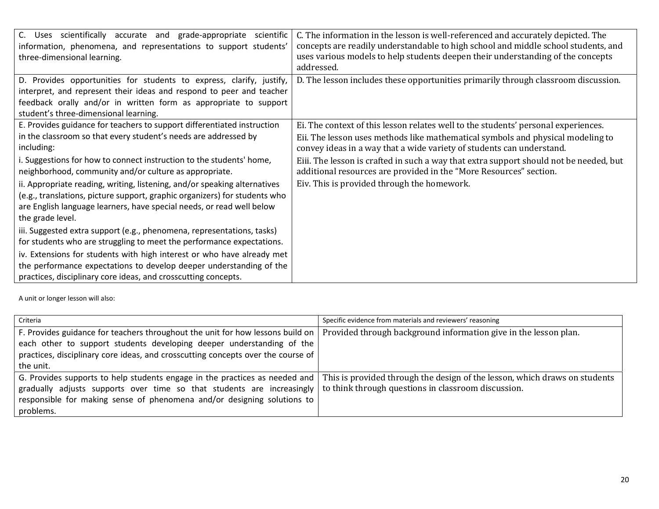| C. Uses scientifically accurate and grade-appropriate<br>scientific<br>information, phenomena, and representations to support students'<br>three-dimensional learning.                                                                                    | C. The information in the lesson is well-referenced and accurately depicted. The<br>concepts are readily understandable to high school and middle school students, and<br>uses various models to help students deepen their understanding of the concepts<br>addressed. |
|-----------------------------------------------------------------------------------------------------------------------------------------------------------------------------------------------------------------------------------------------------------|-------------------------------------------------------------------------------------------------------------------------------------------------------------------------------------------------------------------------------------------------------------------------|
| D. Provides opportunities for students to express, clarify, justify,<br>interpret, and represent their ideas and respond to peer and teacher<br>feedback orally and/or in written form as appropriate to support<br>student's three-dimensional learning. | D. The lesson includes these opportunities primarily through classroom discussion.                                                                                                                                                                                      |
| E. Provides guidance for teachers to support differentiated instruction<br>in the classroom so that every student's needs are addressed by<br>including:                                                                                                  | Ei. The context of this lesson relates well to the students' personal experiences.<br>Eii. The lesson uses methods like mathematical symbols and physical modeling to<br>convey ideas in a way that a wide variety of students can understand.                          |
| i. Suggestions for how to connect instruction to the students' home,<br>neighborhood, community and/or culture as appropriate.                                                                                                                            | Eiii. The lesson is crafted in such a way that extra support should not be needed, but<br>additional resources are provided in the "More Resources" section.                                                                                                            |
| ii. Appropriate reading, writing, listening, and/or speaking alternatives<br>(e.g., translations, picture support, graphic organizers) for students who<br>are English language learners, have special needs, or read well below<br>the grade level.      | Eiv. This is provided through the homework.                                                                                                                                                                                                                             |
| iii. Suggested extra support (e.g., phenomena, representations, tasks)<br>for students who are struggling to meet the performance expectations.                                                                                                           |                                                                                                                                                                                                                                                                         |
| iv. Extensions for students with high interest or who have already met<br>the performance expectations to develop deeper understanding of the<br>practices, disciplinary core ideas, and crosscutting concepts.                                           |                                                                                                                                                                                                                                                                         |

| Criteria                                                                         | Specific evidence from materials and reviewers' reasoning                  |
|----------------------------------------------------------------------------------|----------------------------------------------------------------------------|
| F. Provides guidance for teachers throughout the unit for how lessons build on   | Provided through background information give in the lesson plan.           |
| each other to support students developing deeper understanding of the            |                                                                            |
| practices, disciplinary core ideas, and crosscutting concepts over the course of |                                                                            |
| the unit.                                                                        |                                                                            |
| G. Provides supports to help students engage in the practices as needed and      | This is provided through the design of the lesson, which draws on students |
| gradually adjusts supports over time so that students are increasingly           | to think through questions in classroom discussion.                        |
| responsible for making sense of phenomena and/or designing solutions to          |                                                                            |
| problems.                                                                        |                                                                            |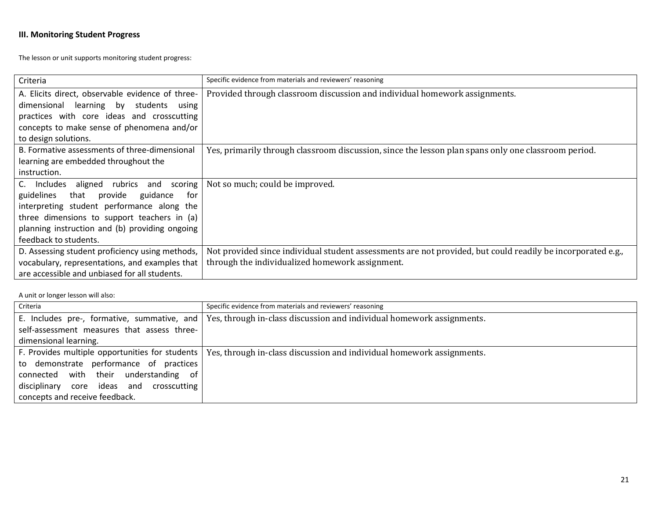# **III. Monitoring Student Progress**

The lesson or unit supports monitoring student progress:

| Criteria                                         | Specific evidence from materials and reviewers' reasoning                                                   |
|--------------------------------------------------|-------------------------------------------------------------------------------------------------------------|
| A. Elicits direct, observable evidence of three- | Provided through classroom discussion and individual homework assignments.                                  |
| dimensional learning by students<br>using        |                                                                                                             |
| practices with core ideas and crosscutting       |                                                                                                             |
| concepts to make sense of phenomena and/or       |                                                                                                             |
| to design solutions.                             |                                                                                                             |
| B. Formative assessments of three-dimensional    | Yes, primarily through classroom discussion, since the lesson plan spans only one classroom period.         |
| learning are embedded throughout the             |                                                                                                             |
| instruction.                                     |                                                                                                             |
| Includes aligned rubrics and scoring<br>C.       | Not so much; could be improved.                                                                             |
| guidelines<br>that provide guidance<br>for       |                                                                                                             |
| interpreting student performance along the       |                                                                                                             |
| three dimensions to support teachers in (a)      |                                                                                                             |
| planning instruction and (b) providing ongoing   |                                                                                                             |
| feedback to students.                            |                                                                                                             |
| D. Assessing student proficiency using methods,  | Not provided since individual student assessments are not provided, but could readily be incorporated e.g., |
| vocabulary, representations, and examples that   | through the individualized homework assignment.                                                             |
| are accessible and unbiased for all students.    |                                                                                                             |

| Criteria                                    | Specific evidence from materials and reviewers' reasoning                                                               |
|---------------------------------------------|-------------------------------------------------------------------------------------------------------------------------|
| E. Includes pre-, formative, summative, and | Yes, through in-class discussion and individual homework assignments.                                                   |
| self-assessment measures that assess three- |                                                                                                                         |
| dimensional learning.                       |                                                                                                                         |
|                                             | F. Provides multiple opportunities for students   Yes, through in-class discussion and individual homework assignments. |
| to demonstrate performance of practices     |                                                                                                                         |
| connected with their understanding of       |                                                                                                                         |
| disciplinary core ideas and crosscutting    |                                                                                                                         |
| concepts and receive feedback.              |                                                                                                                         |